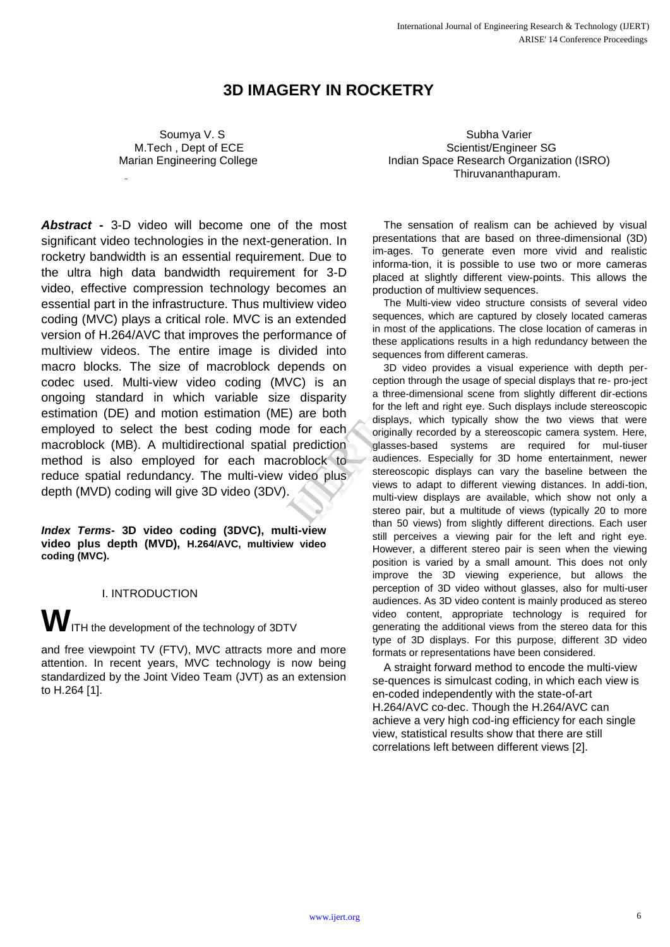# **3D IMAGERY IN ROCKETRY**

 Soumya V. S M.Tech , Dept of ECE Marian Engineering College

 Subha Varier Scientist/Engineer SG Indian Space Research Organization (ISRO) Thiruvananthapuram.

*Abstract* **-** 3-D video will become one of the most significant video technologies in the next-generation. In rocketry bandwidth is an essential requirement. Due to the ultra high data bandwidth requirement for 3-D video, effective compression technology becomes an essential part in the infrastructure. Thus multiview video coding (MVC) plays a critical role. MVC is an extended version of H.264/AVC that improves the performance of multiview videos. The entire image is divided into macro blocks. The size of macroblock depends on codec used. Multi-view video coding (MVC) is an ongoing standard in which variable size disparity estimation (DE) and motion estimation (ME) are both employed to select the best coding mode for each macroblock (MB). A multidirectional spatial prediction method is also employed for each macroblock to reduce spatial redundancy. The multi-view video plus depth (MVD) coding will give 3D video (3DV). display<br>
for each<br>
orediction<br>
orediction<br>
orediction<br>
orediction<br>
display<br>
orediction<br>
display<br>
display<br>
display<br>
display<br>
display<br>
stereos<br>
within then  $\overline{F}$ 

*Index Terms***- 3D video coding (3DVC), multi-view video plus depth (MVD), H.264/AVC, multiview video coding (MVC).**

I. INTRODUCTION

**W**ITH the development of the technology of 3DTV

and free viewpoint TV (FTV), MVC attracts more and more attention. In recent years, MVC technology is now being standardized by the Joint Video Team (JVT) as an extension to H.264 [1].

The sensation of realism can be achieved by visual presentations that are based on three-dimensional (3D) im-ages. To generate even more vivid and realistic informa-tion, it is possible to use two or more cameras placed at slightly different view-points. This allows the production of multiview sequences.

The Multi-view video structure consists of several video sequences, which are captured by closely located cameras in most of the applications. The close location of cameras in these applications results in a high redundancy between the sequences from different cameras.

3D video provides a visual experience with depth perception through the usage of special displays that re- pro-ject a three-dimensional scene from slightly different dir-ections for the left and right eye. Such displays include stereoscopic displays, which typically show the two views that were originally recorded by a stereoscopic camera system. Here, glasses-based systems are required for mul-tiuser audiences. Especially for 3D home entertainment, newer stereoscopic displays can vary the baseline between the views to adapt to different viewing distances. In addi-tion, multi-view displays are available, which show not only a stereo pair, but a multitude of views (typically 20 to more than 50 views) from slightly different directions. Each user still perceives a viewing pair for the left and right eye. However, a different stereo pair is seen when the viewing position is varied by a small amount. This does not only improve the 3D viewing experience, but allows the perception of 3D video without glasses, also for multi-user audiences. As 3D video content is mainly produced as stereo video content, appropriate technology is required for generating the additional views from the stereo data for this type of 3D displays. For this purpose, different 3D video formats or representations have been considered.

A straight forward method to encode the multi-view se-quences is simulcast coding, in which each view is en-coded independently with the state-of-art H.264/AVC co-dec. Though the H.264/AVC can achieve a very high cod-ing efficiency for each single view, statistical results show that there are still correlations left between different views [2].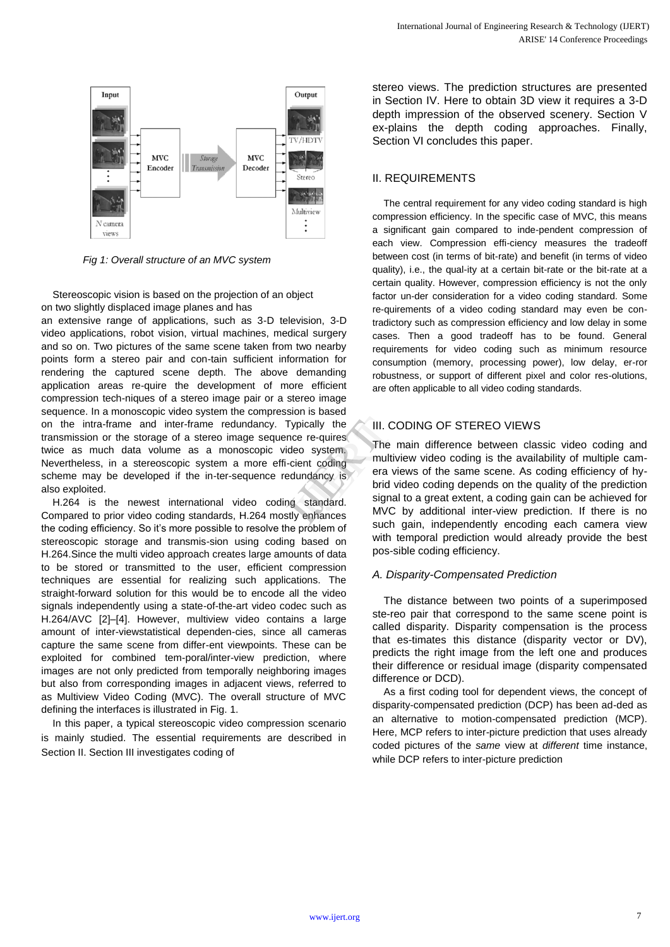

*Fig 1: Overall structure of an MVC system*

Stereoscopic vision is based on the projection of an object on two slightly displaced image planes and has

an extensive range of applications, such as 3-D television, 3-D video applications, robot vision, virtual machines, medical surgery and so on. Two pictures of the same scene taken from two nearby points form a stereo pair and con-tain sufficient information for rendering the captured scene depth. The above demanding application areas re-quire the development of more efficient compression tech-niques of a stereo image pair or a stereo image sequence. In a monoscopic video system the compression is based on the intra-frame and inter-frame redundancy. Typically the transmission or the storage of a stereo image sequence re-quires twice as much data volume as a monoscopic video system. Nevertheless, in a stereoscopic system a more effi-cient coding scheme may be developed if the in-ter-sequence redundancy is also exploited. pically the<br>
e re-quires<br>
and system.<br>
The m<br>
ient coding<br>
undancy is<br>
standard.<br>
standard.<br>
Principle in the standard.<br>
Principle in the standard.<br>
Principle in the standard.<br>
Principle in the standard.<br>
Principle in the

H.264 is the newest international video coding standard. Compared to prior video coding standards, H.264 mostly enhances the coding efficiency. So it's more possible to resolve the problem of stereoscopic storage and transmis-sion using coding based on H.264.Since the multi video approach creates large amounts of data to be stored or transmitted to the user, efficient compression techniques are essential for realizing such applications. The straight-forward solution for this would be to encode all the video signals independently using a state-of-the-art video codec such as H.264/AVC [2]–[4]. However, multiview video contains a large amount of inter-viewstatistical dependen-cies, since all cameras capture the same scene from differ-ent viewpoints. These can be exploited for combined tem-poral/inter-view prediction, where images are not only predicted from temporally neighboring images but also from corresponding images in adjacent views, referred to as Multiview Video Coding (MVC). The overall structure of MVC defining the interfaces is illustrated in Fig. 1.

In this paper, a typical stereoscopic video compression scenario is mainly studied. The essential requirements are described in Section II. Section III investigates coding of

stereo views. The prediction structures are presented in Section IV. Here to obtain 3D view it requires a 3-D depth impression of the observed scenery. Section V ex-plains the depth coding approaches. Finally, Section VI concludes this paper.

# II. REQUIREMENTS

The central requirement for any video coding standard is high compression efficiency. In the specific case of MVC, this means a significant gain compared to inde-pendent compression of each view. Compression effi-ciency measures the tradeoff between cost (in terms of bit-rate) and benefit (in terms of video quality), i.e., the qual-ity at a certain bit-rate or the bit-rate at a certain quality. However, compression efficiency is not the only factor un-der consideration for a video coding standard. Some re-quirements of a video coding standard may even be contradictory such as compression efficiency and low delay in some cases. Then a good tradeoff has to be found. General requirements for video coding such as minimum resource consumption (memory, processing power), low delay, er-ror robustness, or support of different pixel and color res-olutions, are often applicable to all video coding standards.

# III. CODING OF STEREO VIEWS

The main difference between classic video coding and multiview video coding is the availability of multiple camera views of the same scene. As coding efficiency of hybrid video coding depends on the quality of the prediction signal to a great extent, a coding gain can be achieved for MVC by additional inter-view prediction. If there is no such gain, independently encoding each camera view with temporal prediction would already provide the best pos-sible coding efficiency.

## *A. Disparity-Compensated Prediction*

The distance between two points of a superimposed ste-reo pair that correspond to the same scene point is called disparity. Disparity compensation is the process that es-timates this distance (disparity vector or DV), predicts the right image from the left one and produces their difference or residual image (disparity compensated difference or DCD).

As a first coding tool for dependent views, the concept of disparity-compensated prediction (DCP) has been ad-ded as an alternative to motion-compensated prediction (MCP). Here, MCP refers to inter-picture prediction that uses already coded pictures of the *same* view at *different* time instance, while DCP refers to inter-picture prediction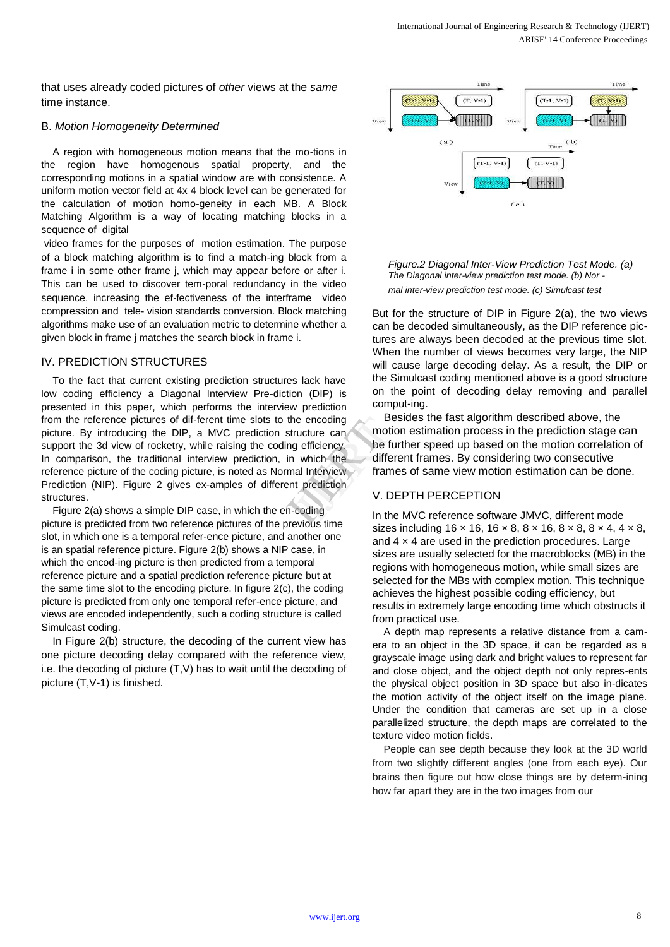that uses already coded pictures of *other* views at the *same* time instance.

#### B. *Motion Homogeneity Determined*

A region with homogeneous motion means that the mo-tions in the region have homogenous spatial property, and the corresponding motions in a spatial window are with consistence. A uniform motion vector field at 4x 4 block level can be generated for the calculation of motion homo-geneity in each MB. A Block Matching Algorithm is a way of locating matching blocks in a sequence of digital

video frames for the purposes of motion estimation. The purpose of a block matching algorithm is to find a match-ing block from a frame i in some other frame j, which may appear before or after i. This can be used to discover tem-poral redundancy in the video sequence, increasing the ef-fectiveness of the interframe video compression and tele- vision standards conversion. Block matching algorithms make use of an evaluation metric to determine whether a given block in frame j matches the search block in frame i.

#### IV. PREDICTION STRUCTURES

To the fact that current existing prediction structures lack have low coding efficiency a Diagonal Interview Pre-diction (DIP) is presented in this paper, which performs the interview prediction from the reference pictures of dif-ferent time slots to the encoding picture. By introducing the DIP, a MVC prediction structure can support the 3d view of rocketry, while raising the coding efficiency. In comparison, the traditional interview prediction, in which the reference picture of the coding picture, is noted as Normal Interview Prediction (NIP). Figure 2 gives ex-amples of different prediction structures. e encoding<br>
ucture can<br>
y efficiency.<br>
which the differe<br>
al Interview<br>
t prediction<br>
V. DEI<br>
coding<br>
wiews ime

Figure 2(a) shows a simple DIP case, in which the en-coding picture is predicted from two reference pictures of the previous time slot, in which one is a temporal refer-ence picture, and another one is an spatial reference picture. Figure 2(b) shows a NIP case, in which the encod-ing picture is then predicted from a temporal reference picture and a spatial prediction reference picture but at the same time slot to the encoding picture. In figure 2(c), the coding picture is predicted from only one temporal refer-ence picture, and views are encoded independently, such a coding structure is called Simulcast coding.

In Figure 2(b) structure, the decoding of the current view has one picture decoding delay compared with the reference view, i.e. the decoding of picture (T,V) has to wait until the decoding of picture (T,V-1) is finished.





But for the structure of DIP in Figure 2(a), the two views can be decoded simultaneously, as the DIP reference pictures are always been decoded at the previous time slot. When the number of views becomes very large, the NIP will cause large decoding delay. As a result, the DIP or the Simulcast coding mentioned above is a good structure on the point of decoding delay removing and parallel comput-ing.

Besides the fast algorithm described above, the motion estimation process in the prediction stage can be further speed up based on the motion correlation of different frames. By considering two consecutive frames of same view motion estimation can be done.

## V. DEPTH PERCEPTION

In the MVC reference software JMVC, different mode sizes including  $16 \times 16$ ,  $16 \times 8$ ,  $8 \times 16$ ,  $8 \times 8$ ,  $8 \times 4$ ,  $4 \times 8$ , and  $4 \times 4$  are used in the prediction procedures. Large sizes are usually selected for the macroblocks (MB) in the regions with homogeneous motion, while small sizes are selected for the MBs with complex motion. This technique achieves the highest possible coding efficiency, but results in extremely large encoding time which obstructs it from practical use.

A depth map represents a relative distance from a camera to an object in the 3D space, it can be regarded as a grayscale image using dark and bright values to represent far and close object, and the object depth not only repres-ents the physical object position in 3D space but also in-dicates the motion activity of the object itself on the image plane. Under the condition that cameras are set up in a close parallelized structure, the depth maps are correlated to the texture video motion fields.

People can see depth because they look at the 3D world from two slightly different angles (one from each eye). Our brains then figure out how close things are by determ-ining how far apart they are in the two images from our